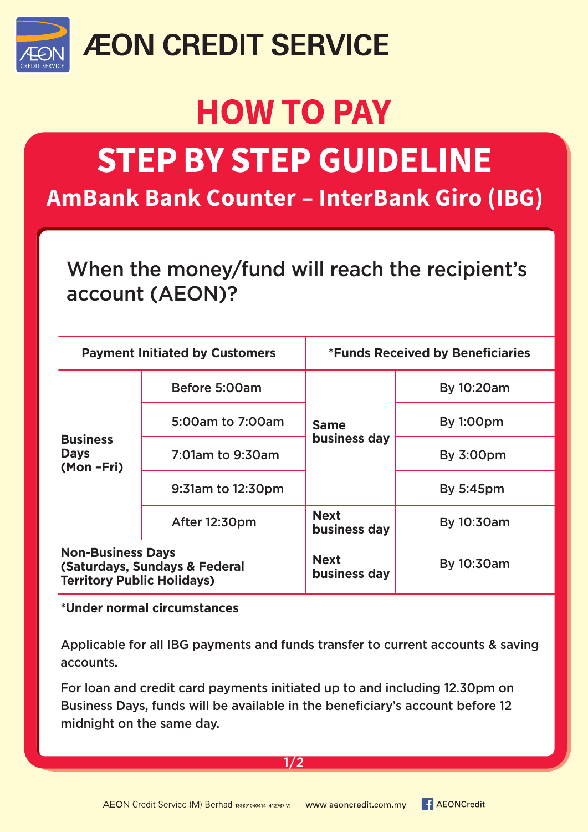

## **ÆON CREDIT SERVICE**

# **HOW TO PAY**

# **STEP BY STEP GUIDELINE**

**AmBank Bank Counter – InterBank Giro (IBG)**

### When the money/fund will reach the recipient's account (AEON)?

| <b>Payment Initiated by Customers</b>                                                          |                   | <b>*Funds Received by Beneficiaries</b> |                  |
|------------------------------------------------------------------------------------------------|-------------------|-----------------------------------------|------------------|
| <b>Business</b><br><b>Days</b><br>(Mon-Fri)                                                    | Before 5:00am     | <b>Same</b><br>business day             | By 10:20am       |
|                                                                                                | 5:00am to 7:00am  |                                         | <b>By 1:00pm</b> |
|                                                                                                | 7:01am to 9:30am  |                                         | <b>By 3:00pm</b> |
|                                                                                                | 9:31am to 12:30pm |                                         | <b>By 5:45pm</b> |
|                                                                                                | After 12:30pm     | <b>Next</b><br>business day             | By 10:30am       |
| <b>Non-Business Days</b><br>(Saturdays, Sundays & Federal<br><b>Territory Public Holidays)</b> |                   | <b>Next</b><br>business day             | By 10:30am       |

#### **\*Under normal circumstances**

Applicable for all IBG payments and funds transfer to current accounts & saving accounts.

For loan and credit card payments initiated up to and including 12.30pm on Business Days, funds will be available in the beneficiary's account before 12 midnight on the same day.

#### 1/2